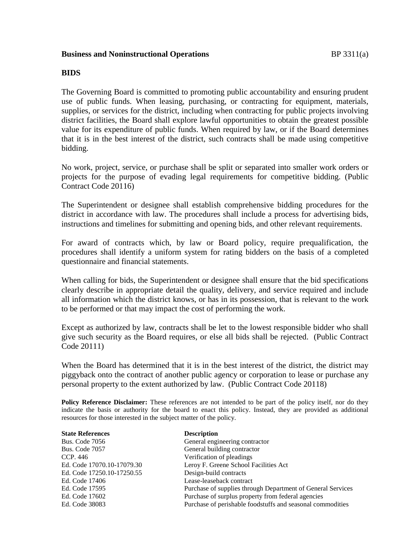#### **Business and Noninstructional Operations BP** 3311(a)

#### **BIDS**

The Governing Board is committed to promoting public accountability and ensuring prudent use of public funds. When leasing, purchasing, or contracting for equipment, materials, supplies, or services for the district, including when contracting for public projects involving district facilities, the Board shall explore lawful opportunities to obtain the greatest possible value for its expenditure of public funds. When required by law, or if the Board determines that it is in the best interest of the district, such contracts shall be made using competitive bidding.

No work, project, service, or purchase shall be split or separated into smaller work orders or projects for the purpose of evading legal requirements for competitive bidding. (Public Contract Code 20116)

The Superintendent or designee shall establish comprehensive bidding procedures for the district in accordance with law. The procedures shall include a process for advertising bids, instructions and timelines for submitting and opening bids, and other relevant requirements.

For award of contracts which, by law or Board policy, require prequalification, the procedures shall identify a uniform system for rating bidders on the basis of a completed questionnaire and financial statements.

When calling for bids, the Superintendent or designee shall ensure that the bid specifications clearly describe in appropriate detail the quality, delivery, and service required and include all information which the district knows, or has in its possession, that is relevant to the work to be performed or that may impact the cost of performing the work.

Except as authorized by law, contracts shall be let to the lowest responsible bidder who shall give such security as the Board requires, or else all bids shall be rejected. (Public Contract Code 20111)

When the Board has determined that it is in the best interest of the district, the district may piggyback onto the contract of another public agency or corporation to lease or purchase any personal property to the extent authorized by law. (Public Contract Code 20118)

**Policy Reference Disclaimer:** These references are not intended to be part of the policy itself, nor do they indicate the basis or authority for the board to enact this policy. Instead, they are provided as additional resources for those interested in the subject matter of the policy.

| <b>State References</b>    | <b>Description</b>                                          |
|----------------------------|-------------------------------------------------------------|
| <b>Bus. Code 7056</b>      | General engineering contractor                              |
| <b>Bus. Code 7057</b>      | General building contractor                                 |
| CCP. 446                   | Verification of pleadings                                   |
| Ed. Code 17070.10-17079.30 | Leroy F. Greene School Facilities Act                       |
| Ed. Code 17250.10-17250.55 | Design-build contracts                                      |
| Ed. Code 17406             | Lease-leaseback contract                                    |
| Ed. Code 17595             | Purchase of supplies through Department of General Services |
| Ed. Code 17602             | Purchase of surplus property from federal agencies          |
| Ed. Code 38083             | Purchase of perishable foodstuffs and seasonal commodities  |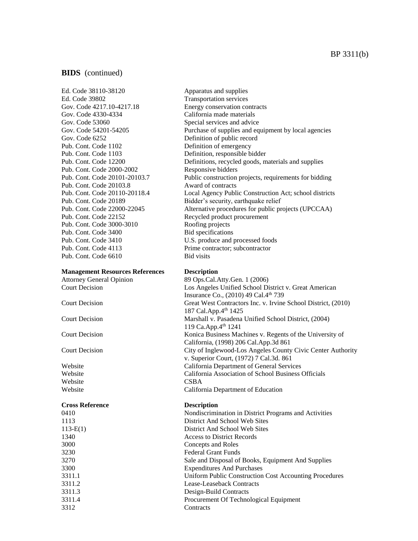Ed. Code 38110-38120 Apparatus and supplies Ed. Code 39802 Transportation services Gov. Code 4217.10-4217.18 Energy conservation contracts Gov. Code 4330-4334 California made materials Gov. Code 53060 Special services and advice Gov. Code 6252 Definition of public record Pub. Cont. Code 1102 Definition of emergency Pub. Cont. Code 1103 Definition, responsible bidder Pub. Cont. Code 2000-2002 Responsive bidders Pub. Cont. Code 20103.8 Award of contracts Pub. Cont. Code 22152 Recycled product procurement Pub. Cont. Code 3000-3010 Roofing projects Pub. Cont. Code 3400 Bid specifications Pub. Cont. Code 4113 Prime contractor; subcontractor Pub. Cont. Code 6610 Bid visits

#### **Management Resources References Description**

Website CSBA

#### **Cross Reference Description**

Gov. Code 54201-54205 Purchase of supplies and equipment by local agencies Pub. Cont. Code 12200 Definitions, recycled goods, materials and supplies Pub. Cont. Code 20101-20103.7 Public construction projects, requirements for bidding Pub. Cont. Code 20110-20118.4 Local Agency Public Construction Act; school districts Pub. Cont. Code 20189 Bidder's security, earthquake relief Pub. Cont. Code 22000-22045 Alternative procedures for public projects (UPCCAA) Pub. Cont. Code 3410 U.S. produce and processed foods

Attorney General Opinion 89 Ops.Cal.Atty.Gen. 1 (2006) Court Decision Los Angeles Unified School District v. Great American Insurance Co., (2010) 49 Cal.4th 739 Court Decision Great West Contractors Inc. v. Irvine School District, (2010) 187 Cal.App.4th 1425 Court Decision Marshall v. Pasadena Unified School District, (2004) 119 Ca.App.4th 1241 Court Decision Konica Business Machines v. Regents of the University of California, (1998) 206 Cal.App.3d 861 Court Decision City of Inglewood-Los Angeles County Civic Center Authority v. Superior Court, (1972) 7 Cal.3d. 861 Website California Department of General Services Website California Association of School Business Officials Website California Department of Education

0410 Nondiscrimination in District Programs and Activities 1113 District And School Web Sites 113-E(1) District And School Web Sites 1340 Access to District Records 3000 Concepts and Roles 3230 Federal Grant Funds 3270 Sale and Disposal of Books, Equipment And Supplies 3300 Expenditures And Purchases 3311.1 Uniform Public Construction Cost Accounting Procedures 3311.2 Lease-Leaseback Contracts 3311.3 Design-Build Contracts 3311.4 Procurement Of Technological Equipment 3312 Contracts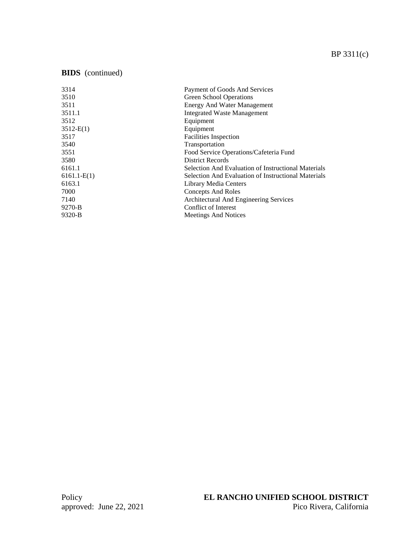| 3314          | Payment of Goods And Services                              |
|---------------|------------------------------------------------------------|
| 3510          | Green School Operations                                    |
| 3511          | <b>Energy And Water Management</b>                         |
| 3511.1        | <b>Integrated Waste Management</b>                         |
| 3512          | Equipment                                                  |
| 3512-E(1)     | Equipment                                                  |
| 3517          | <b>Facilities Inspection</b>                               |
| 3540          | Transportation                                             |
| 3551          | Food Service Operations/Cafeteria Fund                     |
| 3580          | <b>District Records</b>                                    |
| 6161.1        | <b>Selection And Evaluation of Instructional Materials</b> |
| $6161.1-E(1)$ | <b>Selection And Evaluation of Instructional Materials</b> |
| 6163.1        | Library Media Centers                                      |
| 7000          | Concepts And Roles                                         |
| 7140          | Architectural And Engineering Services                     |
| 9270-B        | Conflict of Interest                                       |
| 9320-B        | <b>Meetings And Notices</b>                                |
|               |                                                            |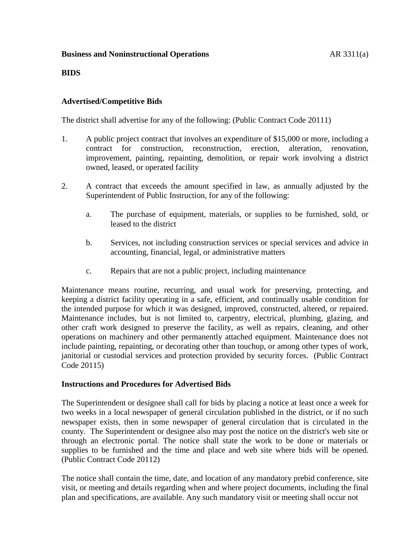## **Business and Noninstructional Operations AR 3311(a)**

### **BIDS**

## **Advertised/Competitive Bids**

The district shall advertise for any of the following: (Public Contract Code 20111)

- 1. A public project contract that involves an expenditure of \$15,000 or more, including a contract for construction, reconstruction, erection, alteration, renovation, improvement, painting, repainting, demolition, or repair work involving a district owned, leased, or operated facility
- 2. A contract that exceeds the amount specified in law, as annually adjusted by the Superintendent of Public Instruction, for any of the following:
	- a. The purchase of equipment, materials, or supplies to be furnished, sold, or leased to the district
	- b. Services, not including construction services or special services and advice in accounting, financial, legal, or administrative matters
	- c. Repairs that are not a public project, including maintenance

Maintenance means routine, recurring, and usual work for preserving, protecting, and keeping a district facility operating in a safe, efficient, and continually usable condition for the intended purpose for which it was designed, improved, constructed, altered, or repaired. Maintenance includes, but is not limited to, carpentry, electrical, plumbing, glazing, and other craft work designed to preserve the facility, as well as repairs, cleaning, and other operations on machinery and other permanently attached equipment. Maintenance does not include painting, repainting, or decorating other than touchup, or among other types of work, janitorial or custodial services and protection provided by security forces. (Public Contract Code 20115)

## **Instructions and Procedures for Advertised Bids**

The Superintendent or designee shall call for bids by placing a notice at least once a week for two weeks in a local newspaper of general circulation published in the district, or if no such newspaper exists, then in some newspaper of general circulation that is circulated in the county. The Superintendent or designee also may post the notice on the district's web site or through an electronic portal. The notice shall state the work to be done or materials or supplies to be furnished and the time and place and web site where bids will be opened. (Public Contract Code 20112)

The notice shall contain the time, date, and location of any mandatory prebid conference, site visit, or meeting and details regarding when and where project documents, including the final plan and specifications, are available. Any such mandatory visit or meeting shall occur not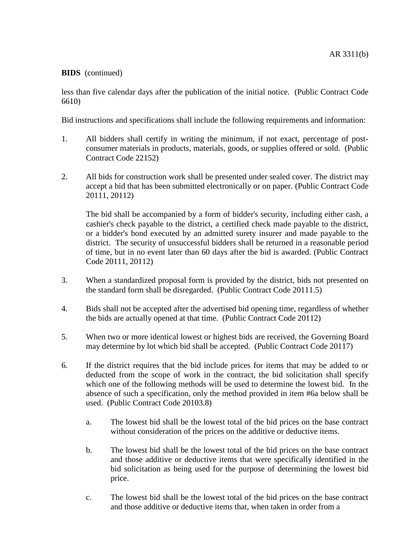less than five calendar days after the publication of the initial notice. (Public Contract Code 6610)

Bid instructions and specifications shall include the following requirements and information:

- 1. All bidders shall certify in writing the minimum, if not exact, percentage of postconsumer materials in products, materials, goods, or supplies offered or sold. (Public Contract Code 22152)
- 2. All bids for construction work shall be presented under sealed cover. The district may accept a bid that has been submitted electronically or on paper. (Public Contract Code 20111, 20112)

The bid shall be accompanied by a form of bidder's security, including either cash, a cashier's check payable to the district, a certified check made payable to the district, or a bidder's bond executed by an admitted surety insurer and made payable to the district. The security of unsuccessful bidders shall be returned in a reasonable period of time, but in no event later than 60 days after the bid is awarded. (Public Contract Code 20111, 20112)

- 3. When a standardized proposal form is provided by the district, bids not presented on the standard form shall be disregarded. (Public Contract Code 20111.5)
- 4. Bids shall not be accepted after the advertised bid opening time, regardless of whether the bids are actually opened at that time. (Public Contract Code 20112)
- 5. When two or more identical lowest or highest bids are received, the Governing Board may determine by lot which bid shall be accepted. (Public Contract Code 20117)
- 6. If the district requires that the bid include prices for items that may be added to or deducted from the scope of work in the contract, the bid solicitation shall specify which one of the following methods will be used to determine the lowest bid. In the absence of such a specification, only the method provided in item #6a below shall be used. (Public Contract Code 20103.8)
	- a. The lowest bid shall be the lowest total of the bid prices on the base contract without consideration of the prices on the additive or deductive items.
	- b. The lowest bid shall be the lowest total of the bid prices on the base contract and those additive or deductive items that were specifically identified in the bid solicitation as being used for the purpose of determining the lowest bid price.
	- c. The lowest bid shall be the lowest total of the bid prices on the base contract and those additive or deductive items that, when taken in order from a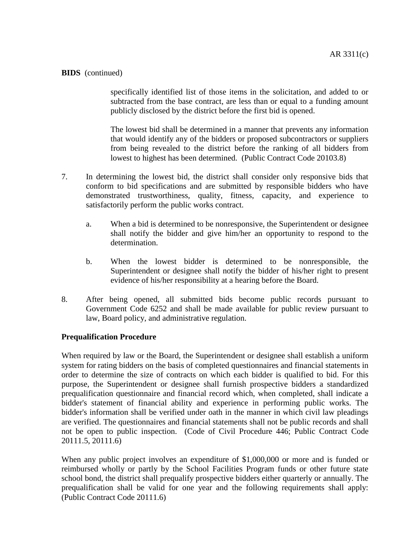specifically identified list of those items in the solicitation, and added to or subtracted from the base contract, are less than or equal to a funding amount publicly disclosed by the district before the first bid is opened.

The lowest bid shall be determined in a manner that prevents any information that would identify any of the bidders or proposed subcontractors or suppliers from being revealed to the district before the ranking of all bidders from lowest to highest has been determined. (Public Contract Code 20103.8)

- 7. In determining the lowest bid, the district shall consider only responsive bids that conform to bid specifications and are submitted by responsible bidders who have demonstrated trustworthiness, quality, fitness, capacity, and experience to satisfactorily perform the public works contract.
	- a. When a bid is determined to be nonresponsive, the Superintendent or designee shall notify the bidder and give him/her an opportunity to respond to the determination.
	- b. When the lowest bidder is determined to be nonresponsible, the Superintendent or designee shall notify the bidder of his/her right to present evidence of his/her responsibility at a hearing before the Board.
- 8. After being opened, all submitted bids become public records pursuant to Government Code 6252 and shall be made available for public review pursuant to law, Board policy, and administrative regulation.

## **Prequalification Procedure**

When required by law or the Board, the Superintendent or designee shall establish a uniform system for rating bidders on the basis of completed questionnaires and financial statements in order to determine the size of contracts on which each bidder is qualified to bid. For this purpose, the Superintendent or designee shall furnish prospective bidders a standardized prequalification questionnaire and financial record which, when completed, shall indicate a bidder's statement of financial ability and experience in performing public works. The bidder's information shall be verified under oath in the manner in which civil law pleadings are verified. The questionnaires and financial statements shall not be public records and shall not be open to public inspection. (Code of Civil Procedure 446; Public Contract Code 20111.5, 20111.6)

When any public project involves an expenditure of \$1,000,000 or more and is funded or reimbursed wholly or partly by the School Facilities Program funds or other future state school bond, the district shall prequalify prospective bidders either quarterly or annually. The prequalification shall be valid for one year and the following requirements shall apply: (Public Contract Code 20111.6)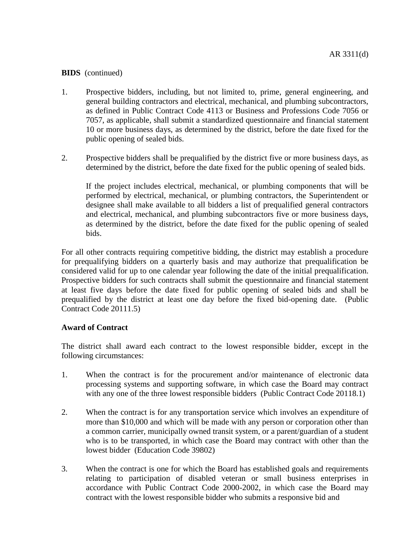- 1. Prospective bidders, including, but not limited to, prime, general engineering, and general building contractors and electrical, mechanical, and plumbing subcontractors, as defined in Public Contract Code 4113 or Business and Professions Code 7056 or 7057, as applicable, shall submit a standardized questionnaire and financial statement 10 or more business days, as determined by the district, before the date fixed for the public opening of sealed bids.
- 2. Prospective bidders shall be prequalified by the district five or more business days, as determined by the district, before the date fixed for the public opening of sealed bids.

If the project includes electrical, mechanical, or plumbing components that will be performed by electrical, mechanical, or plumbing contractors, the Superintendent or designee shall make available to all bidders a list of prequalified general contractors and electrical, mechanical, and plumbing subcontractors five or more business days, as determined by the district, before the date fixed for the public opening of sealed bids.

For all other contracts requiring competitive bidding, the district may establish a procedure for prequalifying bidders on a quarterly basis and may authorize that prequalification be considered valid for up to one calendar year following the date of the initial prequalification. Prospective bidders for such contracts shall submit the questionnaire and financial statement at least five days before the date fixed for public opening of sealed bids and shall be prequalified by the district at least one day before the fixed bid-opening date. (Public Contract Code 20111.5)

## **Award of Contract**

The district shall award each contract to the lowest responsible bidder, except in the following circumstances:

- 1. When the contract is for the procurement and/or maintenance of electronic data processing systems and supporting software, in which case the Board may contract with any one of the three lowest responsible bidders (Public Contract Code 20118.1)
- 2. When the contract is for any transportation service which involves an expenditure of more than \$10,000 and which will be made with any person or corporation other than a common carrier, municipally owned transit system, or a parent/guardian of a student who is to be transported, in which case the Board may contract with other than the lowest bidder (Education Code 39802)
- 3. When the contract is one for which the Board has established goals and requirements relating to participation of disabled veteran or small business enterprises in accordance with Public Contract Code 2000-2002, in which case the Board may contract with the lowest responsible bidder who submits a responsive bid and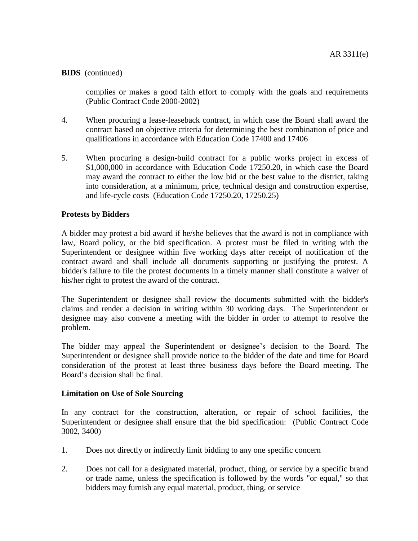complies or makes a good faith effort to comply with the goals and requirements (Public Contract Code 2000-2002)

- 4. When procuring a lease-leaseback contract, in which case the Board shall award the contract based on objective criteria for determining the best combination of price and qualifications in accordance with Education Code 17400 and 17406
- 5. When procuring a design-build contract for a public works project in excess of \$1,000,000 in accordance with Education Code 17250.20, in which case the Board may award the contract to either the low bid or the best value to the district, taking into consideration, at a minimum, price, technical design and construction expertise, and life-cycle costs (Education Code 17250.20, 17250.25)

### **Protests by Bidders**

A bidder may protest a bid award if he/she believes that the award is not in compliance with law, Board policy, or the bid specification. A protest must be filed in writing with the Superintendent or designee within five working days after receipt of notification of the contract award and shall include all documents supporting or justifying the protest. A bidder's failure to file the protest documents in a timely manner shall constitute a waiver of his/her right to protest the award of the contract.

The Superintendent or designee shall review the documents submitted with the bidder's claims and render a decision in writing within 30 working days. The Superintendent or designee may also convene a meeting with the bidder in order to attempt to resolve the problem.

The bidder may appeal the Superintendent or designee's decision to the Board. The Superintendent or designee shall provide notice to the bidder of the date and time for Board consideration of the protest at least three business days before the Board meeting. The Board's decision shall be final.

#### **Limitation on Use of Sole Sourcing**

In any contract for the construction, alteration, or repair of school facilities, the Superintendent or designee shall ensure that the bid specification: (Public Contract Code 3002, 3400)

- 1. Does not directly or indirectly limit bidding to any one specific concern
- 2. Does not call for a designated material, product, thing, or service by a specific brand or trade name, unless the specification is followed by the words "or equal," so that bidders may furnish any equal material, product, thing, or service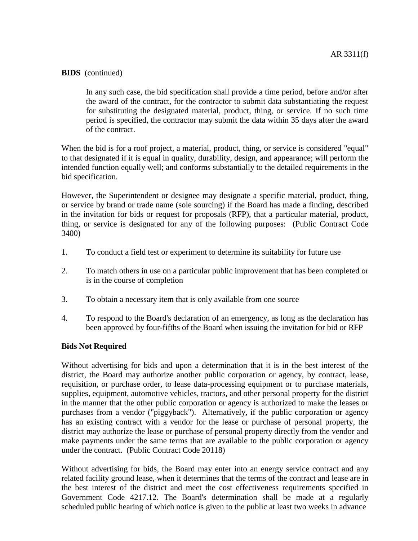In any such case, the bid specification shall provide a time period, before and/or after the award of the contract, for the contractor to submit data substantiating the request for substituting the designated material, product, thing, or service. If no such time period is specified, the contractor may submit the data within 35 days after the award of the contract.

When the bid is for a roof project, a material, product, thing, or service is considered "equal" to that designated if it is equal in quality, durability, design, and appearance; will perform the intended function equally well; and conforms substantially to the detailed requirements in the bid specification.

However, the Superintendent or designee may designate a specific material, product, thing, or service by brand or trade name (sole sourcing) if the Board has made a finding, described in the invitation for bids or request for proposals (RFP), that a particular material, product, thing, or service is designated for any of the following purposes: (Public Contract Code 3400)

- 1. To conduct a field test or experiment to determine its suitability for future use
- 2. To match others in use on a particular public improvement that has been completed or is in the course of completion
- 3. To obtain a necessary item that is only available from one source
- 4. To respond to the Board's declaration of an emergency, as long as the declaration has been approved by four-fifths of the Board when issuing the invitation for bid or RFP

#### **Bids Not Required**

Without advertising for bids and upon a determination that it is in the best interest of the district, the Board may authorize another public corporation or agency, by contract, lease, requisition, or purchase order, to lease data-processing equipment or to purchase materials, supplies, equipment, automotive vehicles, tractors, and other personal property for the district in the manner that the other public corporation or agency is authorized to make the leases or purchases from a vendor ("piggyback"). Alternatively, if the public corporation or agency has an existing contract with a vendor for the lease or purchase of personal property, the district may authorize the lease or purchase of personal property directly from the vendor and make payments under the same terms that are available to the public corporation or agency under the contract. (Public Contract Code 20118)

Without advertising for bids, the Board may enter into an energy service contract and any related facility ground lease, when it determines that the terms of the contract and lease are in the best interest of the district and meet the cost effectiveness requirements specified in Government Code 4217.12. The Board's determination shall be made at a regularly scheduled public hearing of which notice is given to the public at least two weeks in advance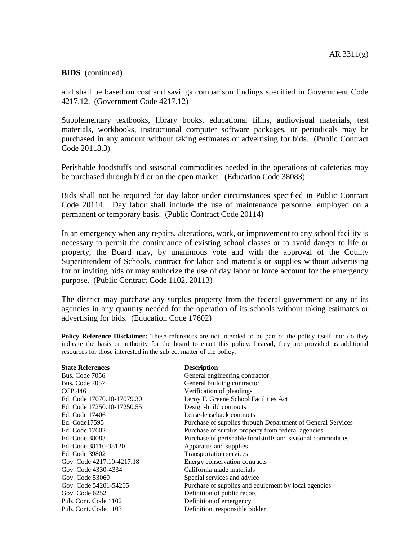and shall be based on cost and savings comparison findings specified in Government Code 4217.12. (Government Code 4217.12)

Supplementary textbooks, library books, educational films, audiovisual materials, test materials, workbooks, instructional computer software packages, or periodicals may be purchased in any amount without taking estimates or advertising for bids. (Public Contract Code 20118.3)

Perishable foodstuffs and seasonal commodities needed in the operations of cafeterias may be purchased through bid or on the open market. (Education Code 38083)

Bids shall not be required for day labor under circumstances specified in Public Contract Code 20114. Day labor shall include the use of maintenance personnel employed on a permanent or temporary basis. (Public Contract Code 20114)

In an emergency when any repairs, alterations, work, or improvement to any school facility is necessary to permit the continuance of existing school classes or to avoid danger to life or property, the Board may, by unanimous vote and with the approval of the County Superintendent of Schools, contract for labor and materials or supplies without advertising for or inviting bids or may authorize the use of day labor or force account for the emergency purpose. (Public Contract Code 1102, 20113)

The district may purchase any surplus property from the federal government or any of its agencies in any quantity needed for the operation of its schools without taking estimates or advertising for bids. (Education Code 17602)

**Policy Reference Disclaimer:** These references are not intended to be part of the policy itself, nor do they indicate the basis or authority for the board to enact this policy. Instead, they are provided as additional resources for those interested in the subject matter of the policy.

#### **State References Description**

Bus. Code 7057 General building contractor CCP.446 Verification of pleadings Ed. Code 17250.10-17250.55 Design-build contracts Ed. Code 17406 Lease-leaseback contracts Ed. Code 38110-38120 Apparatus and supplies Ed. Code 39802 Transportation services Gov. Code 4330-4334 California made materials Gov. Code 53060 Special services and advice Gov. Code 6252 Definition of public record Pub. Cont. Code 1102 Definition of emergency Pub. Cont. Code 1103 Definition, responsible bidder

Bus. Code 7056 General engineering contractor Ed. Code 17070.10-17079.30 Leroy F. Greene School Facilities Act Ed. Code17595 Purchase of supplies through Department of General Services Ed. Code 17602 Purchase of surplus property from federal agencies Ed. Code 38083 Purchase of perishable foodstuffs and seasonal commodities Gov. Code 4217.10-4217.18 Energy conservation contracts Gov. Code 54201-54205 Purchase of supplies and equipment by local agencies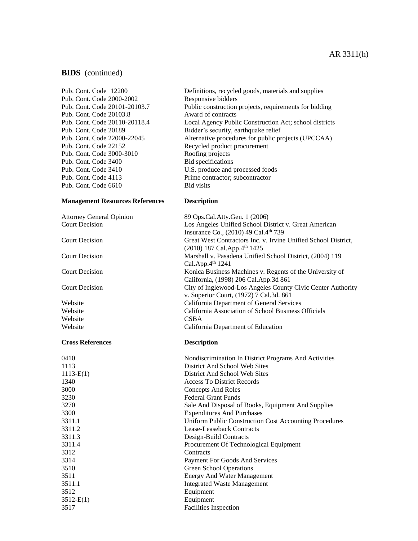#### AR 3311(h)

#### **BIDS** (continued)

Pub. Cont. Code 2000-2002 Responsive bidders Pub. Cont. Code 20103.8 Award of contracts Pub. Cont. Code 22152 Recycled product procurement<br>
Pub. Cont. Code 3000-3010 Roofing projects Pub. Cont. Code 3000-3010 Roofing projects<br>
Pub. Cont. Code 3400 Bid specifications Pub. Cont. Code 3400 Pub. Cont. Code 4113 Prime contractor; subcontractor Pub. Cont. Code 6610 Bid visits

#### **Management Resources References Description**

Attorney General Opinion 89 Ops.Cal.Atty.Gen. 1 (2006) Court Decision

#### **Cross References Description**

| 0410        | Nondiscrimination In District Programs And Activities  |
|-------------|--------------------------------------------------------|
| 1113        | District And School Web Sites                          |
| $1113-E(1)$ | District And School Web Sites                          |
| 1340        | <b>Access To District Records</b>                      |
| 3000        | Concepts And Roles                                     |
| 3230        | <b>Federal Grant Funds</b>                             |
| 3270        | Sale And Disposal of Books, Equipment And Supplies     |
| 3300        | <b>Expenditures And Purchases</b>                      |
| 3311.1      | Uniform Public Construction Cost Accounting Procedures |
| 3311.2      | Lease-Leaseback Contracts                              |
| 3311.3      | Design-Build Contracts                                 |
| 3311.4      | Procurement Of Technological Equipment                 |
| 3312        | Contracts                                              |
| 3314        | Payment For Goods And Services                         |
| 3510        | Green School Operations                                |
| 3511        | <b>Energy And Water Management</b>                     |
| 3511.1      | <b>Integrated Waste Management</b>                     |
| 3512        | Equipment                                              |
| $3512-E(1)$ | Equipment                                              |
| 3517        | <b>Facilities</b> Inspection                           |

Pub. Cont. Code 12200 Definitions, recycled goods, materials and supplies Pub. Cont. Code 20101-20103.7 Public construction projects, requirements for bidding Pub. Cont. Code 20110-20118.4 Local Agency Public Construction Act; school districts Pub. Cont. Code 20189 Bidder's security, earthquake relief Pub. Cont. Code 22000-22045 Alternative procedures for public projects (UPCCAA) Pub. Cont. Code 3410 U.S. produce and processed foods

| Attorney General Opinion | 89 Ops.Cal.Atty.Gen. 1 (2006)                                  |
|--------------------------|----------------------------------------------------------------|
| <b>Court Decision</b>    | Los Angeles Unified School District v. Great American          |
|                          | Insurance Co., (2010) 49 Cal.4 <sup>th</sup> 739               |
| <b>Court Decision</b>    | Great West Contractors Inc. v. Irvine Unified School District, |
|                          | $(2010)$ 187 Cal.App.4 <sup>th</sup> 1425                      |
| <b>Court Decision</b>    | Marshall v. Pasadena Unified School District, (2004) 119       |
|                          | Cal.App. $4th$ 1241                                            |
| <b>Court Decision</b>    | Konica Business Machines v. Regents of the University of       |
|                          | California, (1998) 206 Cal.App.3d 861                          |
| <b>Court Decision</b>    | City of Inglewood-Los Angeles County Civic Center Authority    |
|                          | v. Superior Court, (1972) 7 Cal.3d. 861                        |
| Website                  | California Department of General Services                      |
| Website                  | California Association of School Business Officials            |
| Website                  | <b>CSBA</b>                                                    |
| Website                  | California Department of Education                             |
|                          |                                                                |